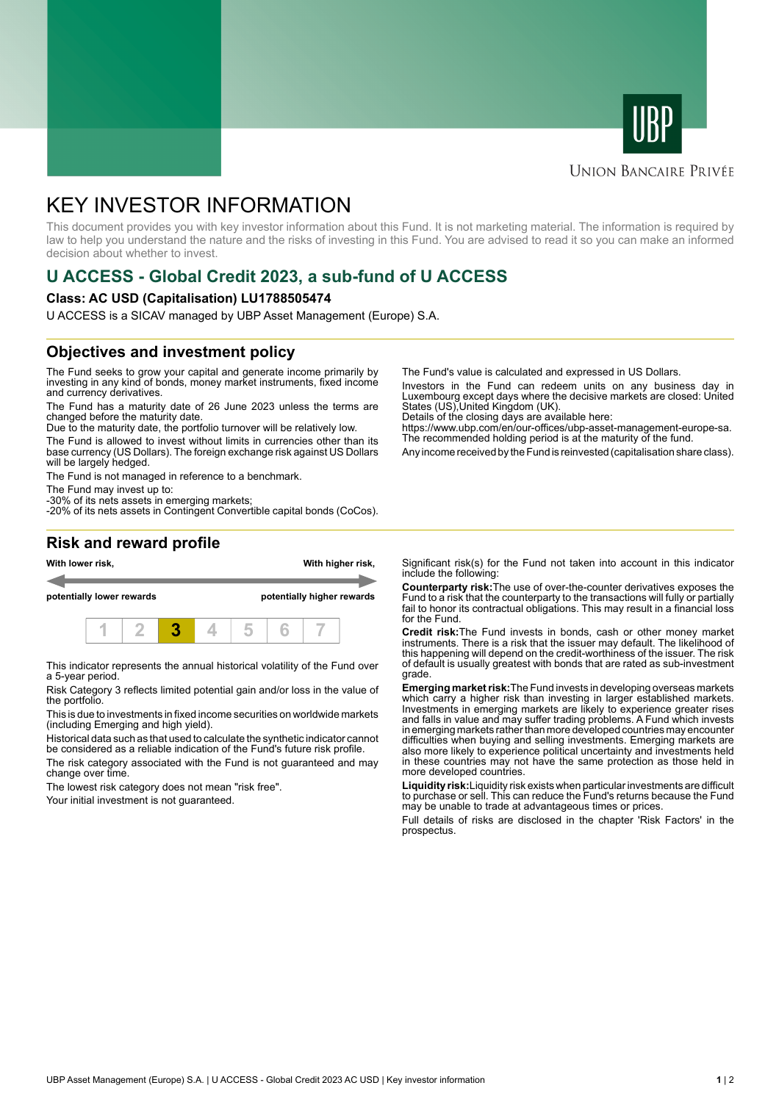



### **UNION BANCAIRE PRIVÉE**

# KEY INVESTOR INFORMATION

This document provides you with key investor information about this Fund. It is not marketing material. The information is required by law to help you understand the nature and the risks of investing in this Fund. You are advised to read it so you can make an informed decision about whether to invest.

# **U ACCESS - Global Credit 2023, a sub-fund of U ACCESS**

#### **Class: AC USD (Capitalisation) LU1788505474**

U ACCESS is a SICAV managed by UBP Asset Management (Europe) S.A.

## **Objectives and investment policy**

The Fund seeks to grow your capital and generate income primarily by investing in any kind of bonds, money market instruments, fixed income and currency derivatives.

The Fund has a maturity date of 26 June 2023 unless the terms are changed before the maturity date.

Due to the maturity date, the portfolio turnover will be relatively low.

The Fund is allowed to invest without limits in currencies other than its base currency (US Dollars). The foreign exchange risk against US Dollars will be largely hedged.

The Fund is not managed in reference to a benchmark.

The Fund may invest up to:

-30% of its nets assets in emerging markets; -20% of its nets assets in Contingent Convertible capital bonds (CoCos). The Fund's value is calculated and expressed in US Dollars.

Investors in the Fund can redeem units on any business day in Luxembourg except days where the decisive markets are closed: United States (US),United Kingdom (UK).

Details of the closing days are available here:

https://www.ubp.com/en/our-offices/ubp-asset-management-europe-sa. The recommended holding period is at the maturity of the fund.

Any income received by the Fund is reinvested (capitalisation share class).

### **Risk and reward profile**



This indicator represents the annual historical volatility of the Fund over a 5-year period.

Risk Category 3 reflects limited potential gain and/or loss in the value of the portfolio.

This is due to investments in fixed income securities on worldwide markets (including Emerging and high yield).

Historical data such as that used to calculate the synthetic indicator cannot be considered as a reliable indication of the Fund's future risk profile.

The risk category associated with the Fund is not guaranteed and may change over time.

The lowest risk category does not mean "risk free".

Your initial investment is not guaranteed.

Significant risk(s) for the Fund not taken into account in this indicator include the following:

**Counterparty risk:**The use of over-the-counter derivatives exposes the Fund to a risk that the counterparty to the transactions will fully or partially fail to honor its contractual obligations. This may result in a financial loss for the Fund.

**Credit risk:**The Fund invests in bonds, cash or other money market instruments. There is a risk that the issuer may default. The likelihood of this happening will depend on the credit-worthiness of the issuer. The risk of default is usually greatest with bonds that are rated as sub-investment grade.

**Emerging market risk:**The Fund invests in developing overseas markets which carry a higher risk than investing in larger established markets. Investments in emerging markets are likely to experience greater rises and falls in value and may suffer trading problems. A Fund which invests in emerging markets rather than more developed countries may encounter difficulties when buying and selling investments. Emerging markets are also more likely to experience political uncertainty and investments held in these countries may not have the same protection as those held in more developed countries.

**Liquidity risk:**Liquidity risk exists when particular investments are difficult to purchase or sell. This can reduce the Fund's returns because the Fund may be unable to trade at advantageous times or prices

Full details of risks are disclosed in the chapter 'Risk Factors' in the prospectus.